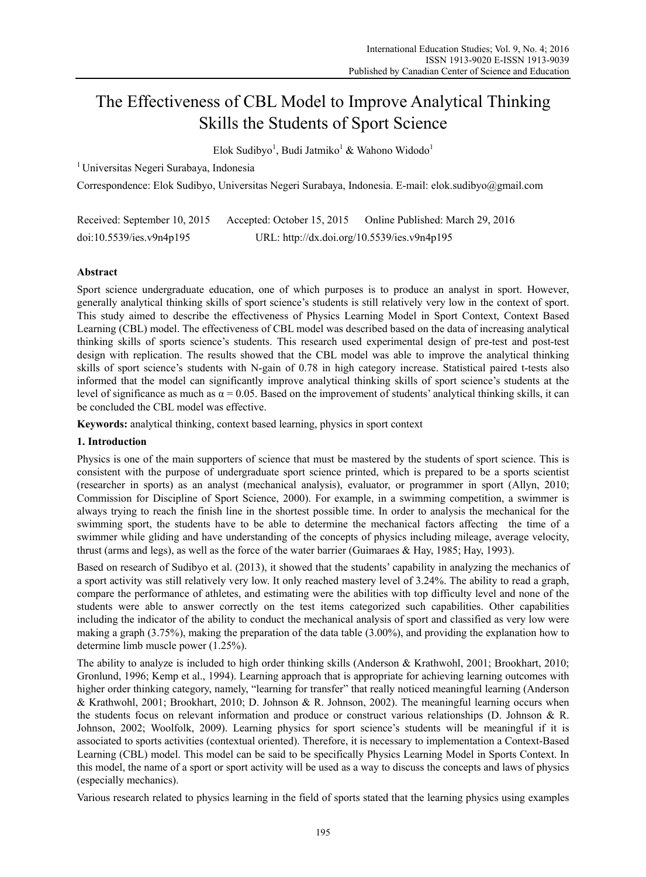# The Effectiveness of CBL Model to Improve Analytical Thinking Skills the Students of Sport Science

Elok Sudibyo<sup>1</sup>, Budi Jatmiko<sup>1</sup> & Wahono Widodo<sup>1</sup>

1 Universitas Negeri Surabaya, Indonesia

Correspondence: Elok Sudibyo, Universitas Negeri Surabaya, Indonesia. E-mail: elok.sudibyo@gmail.com

| Received: September 10, 2015 | Accepted: October 15, 2015                  | Online Published: March 29, 2016 |
|------------------------------|---------------------------------------------|----------------------------------|
| doi:10.5539/ies.v9n4p195     | URL: http://dx.doi.org/10.5539/ies.v9n4p195 |                                  |

# **Abstract**

Sport science undergraduate education, one of which purposes is to produce an analyst in sport. However, generally analytical thinking skills of sport science's students is still relatively very low in the context of sport. This study aimed to describe the effectiveness of Physics Learning Model in Sport Context, Context Based Learning (CBL) model. The effectiveness of CBL model was described based on the data of increasing analytical thinking skills of sports science's students. This research used experimental design of pre-test and post-test design with replication. The results showed that the CBL model was able to improve the analytical thinking skills of sport science's students with N-gain of 0.78 in high category increase. Statistical paired t-tests also informed that the model can significantly improve analytical thinking skills of sport science's students at the level of significance as much as  $\alpha = 0.05$ . Based on the improvement of students' analytical thinking skills, it can be concluded the CBL model was effective.

**Keywords:** analytical thinking, context based learning, physics in sport context

# **1. Introduction**

Physics is one of the main supporters of science that must be mastered by the students of sport science. This is consistent with the purpose of undergraduate sport science printed, which is prepared to be a sports scientist (researcher in sports) as an analyst (mechanical analysis), evaluator, or programmer in sport (Allyn, 2010; Commission for Discipline of Sport Science, 2000). For example, in a swimming competition, a swimmer is always trying to reach the finish line in the shortest possible time. In order to analysis the mechanical for the swimming sport, the students have to be able to determine the mechanical factors affecting the time of a swimmer while gliding and have understanding of the concepts of physics including mileage, average velocity, thrust (arms and legs), as well as the force of the water barrier (Guimaraes & Hay, 1985; Hay, 1993).

Based on research of Sudibyo et al. (2013), it showed that the students' capability in analyzing the mechanics of a sport activity was still relatively very low. It only reached mastery level of 3.24%. The ability to read a graph, compare the performance of athletes, and estimating were the abilities with top difficulty level and none of the students were able to answer correctly on the test items categorized such capabilities. Other capabilities including the indicator of the ability to conduct the mechanical analysis of sport and classified as very low were making a graph (3.75%), making the preparation of the data table (3.00%), and providing the explanation how to determine limb muscle power (1.25%).

The ability to analyze is included to high order thinking skills (Anderson & Krathwohl, 2001; Brookhart, 2010; Gronlund, 1996; Kemp et al., 1994). Learning approach that is appropriate for achieving learning outcomes with higher order thinking category, namely, "learning for transfer" that really noticed meaningful learning (Anderson & Krathwohl, 2001; Brookhart, 2010; D. Johnson & R. Johnson, 2002). The meaningful learning occurs when the students focus on relevant information and produce or construct various relationships (D. Johnson & R. Johnson, 2002; Woolfolk, 2009). Learning physics for sport science's students will be meaningful if it is associated to sports activities (contextual oriented). Therefore, it is necessary to implementation a Context-Based Learning (CBL) model. This model can be said to be specifically Physics Learning Model in Sports Context. In this model, the name of a sport or sport activity will be used as a way to discuss the concepts and laws of physics (especially mechanics).

Various research related to physics learning in the field of sports stated that the learning physics using examples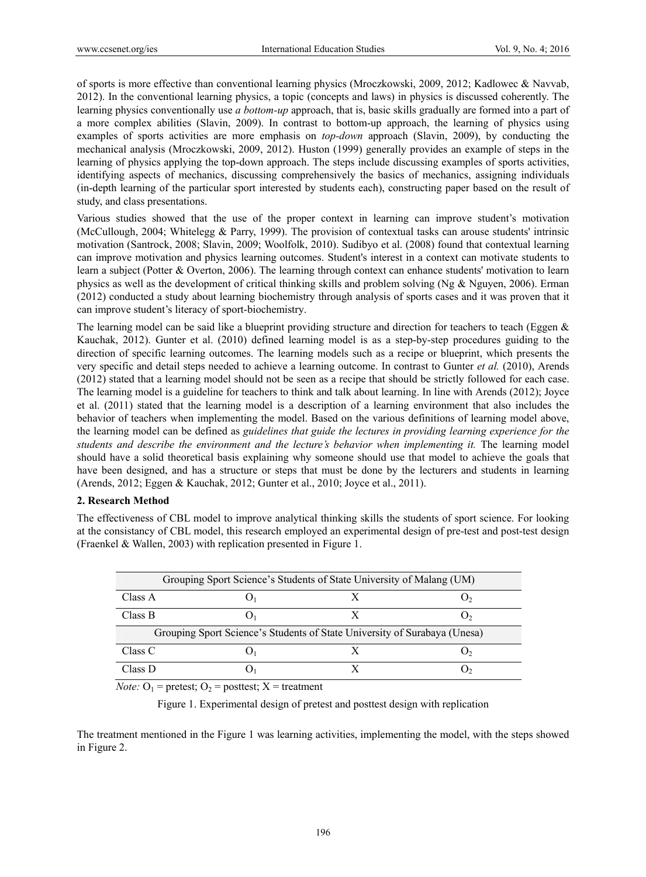of sports is more effective than conventional learning physics (Mroczkowski, 2009, 2012; Kadlowec & Navvab, 2012). In the conventional learning physics, a topic (concepts and laws) in physics is discussed coherently. The learning physics conventionally use *a bottom-up* approach, that is, basic skills gradually are formed into a part of a more complex abilities (Slavin, 2009). In contrast to bottom-up approach, the learning of physics using examples of sports activities are more emphasis on *top-down* approach (Slavin, 2009), by conducting the mechanical analysis (Mroczkowski, 2009, 2012). Huston (1999) generally provides an example of steps in the learning of physics applying the top-down approach. The steps include discussing examples of sports activities, identifying aspects of mechanics, discussing comprehensively the basics of mechanics, assigning individuals (in-depth learning of the particular sport interested by students each), constructing paper based on the result of study, and class presentations.

Various studies showed that the use of the proper context in learning can improve student's motivation (McCullough, 2004; Whitelegg & Parry, 1999). The provision of contextual tasks can arouse students' intrinsic motivation (Santrock, 2008; Slavin, 2009; Woolfolk, 2010). Sudibyo et al. (2008) found that contextual learning can improve motivation and physics learning outcomes. Student's interest in a context can motivate students to learn a subject (Potter & Overton, 2006). The learning through context can enhance students' motivation to learn physics as well as the development of critical thinking skills and problem solving (Ng & Nguyen, 2006). Erman (2012) conducted a study about learning biochemistry through analysis of sports cases and it was proven that it can improve student's literacy of sport-biochemistry.

The learning model can be said like a blueprint providing structure and direction for teachers to teach (Eggen  $\&$ Kauchak, 2012). Gunter et al. (2010) defined learning model is as a step-by-step procedures guiding to the direction of specific learning outcomes. The learning models such as a recipe or blueprint, which presents the very specific and detail steps needed to achieve a learning outcome. In contrast to Gunter *et al.* (2010), Arends (2012) stated that a learning model should not be seen as a recipe that should be strictly followed for each case. The learning model is a guideline for teachers to think and talk about learning. In line with Arends (2012); Joyce et al. (2011) stated that the learning model is a description of a learning environment that also includes the behavior of teachers when implementing the model. Based on the various definitions of learning model above, the learning model can be defined as *guidelines that guide the lectures in providing learning experience for the students and describe the environment and the lecture's behavior when implementing it.* The learning model should have a solid theoretical basis explaining why someone should use that model to achieve the goals that have been designed, and has a structure or steps that must be done by the lecturers and students in learning (Arends, 2012; Eggen & Kauchak, 2012; Gunter et al., 2010; Joyce et al., 2011).

## **2. Research Method**

The effectiveness of CBL model to improve analytical thinking skills the students of sport science. For looking at the consistancy of CBL model, this research employed an experimental design of pre-test and post-test design (Fraenkel & Wallen, 2003) with replication presented in Figure 1.

| Grouping Sport Science's Students of State University of Malang (UM)      |  |  |    |  |  |
|---------------------------------------------------------------------------|--|--|----|--|--|
| Class A                                                                   |  |  |    |  |  |
| Class B                                                                   |  |  | いっ |  |  |
| Grouping Sport Science's Students of State University of Surabaya (Unesa) |  |  |    |  |  |
| Class C                                                                   |  |  |    |  |  |
| Class D                                                                   |  |  |    |  |  |

*Note:*  $O_1$  = pretest;  $O_2$  = posttest;  $X$  = treatment

Figure 1. Experimental design of pretest and posttest design with replication

The treatment mentioned in the Figure 1 was learning activities, implementing the model, with the steps showed in Figure 2.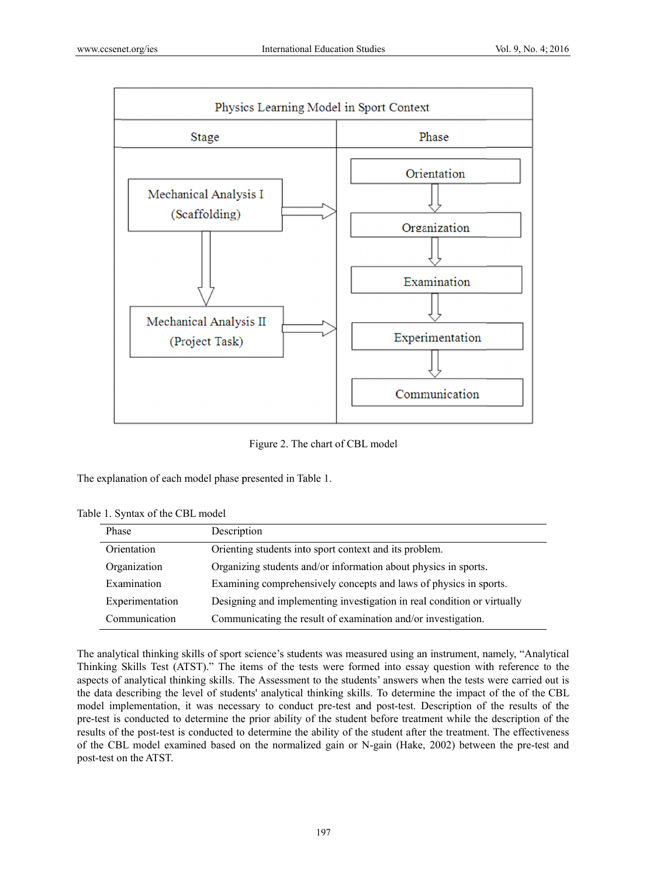

Figure 2. The chart of CBL model

The explanation of each model phase presented in Table 1.

Table 1. Syntax of the CBL model

| Phase           | Description                                                             |
|-----------------|-------------------------------------------------------------------------|
| Orientation     | Orienting students into sport context and its problem.                  |
| Organization    | Organizing students and/or information about physics in sports.         |
| Examination     | Examining comprehensively concepts and laws of physics in sports.       |
| Experimentation | Designing and implementing investigation in real condition or virtually |
| Communication   | Communicating the result of examination and/or investigation.           |

The analytical thinking skills of sport science's students was measured using an instrument, namely, "Analytical Thinking Skills Test (ATST)." The items of the tests were formed into essay question with reference to the aspects of analytical thinking skills. The Assessment to the students' answers when the tests were carried out is the data describing the level of students' analytical thinking skills. To determine the impact of the of the CBL model implementation, it was necessary to conduct pre-test and post-test. Description of the results of the pre-test is conducted to determine the prior ability of the student before treatment while the description of the results of the post-test is conducted to determine the ability of the student after the treatment. The effectiveness of the CBL model examined based on the normalized gain or N-gain (Hake, 2002) between the pre-test and post-test on the ATST.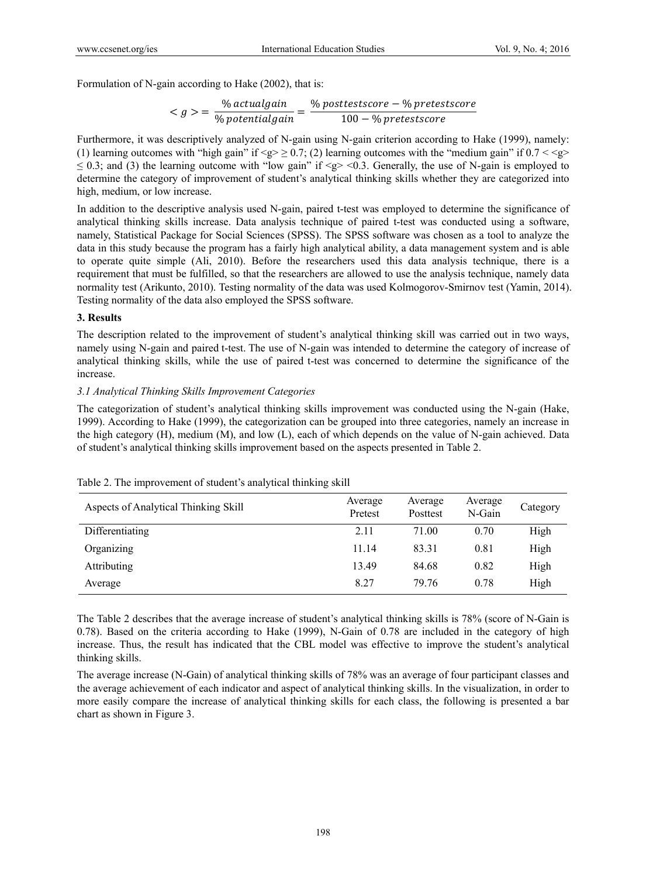Formulation of N-gain according to Hake (2002), that is:

$$
\langle g \rangle = \frac{\% \text{ actual gain}}{\% \text{ potential gain}} = \frac{\% \text{ posttestscore} - \% \text{ pretestscore}}{100 - \% \text{ pretestscore}}
$$

Furthermore, it was descriptively analyzed of N-gain using N-gain criterion according to Hake (1999), namely: (1) learning outcomes with "high gain" if  $\langle \varphi \rangle \ge 0.7$ ; (2) learning outcomes with the "medium gain" if  $0.7 \langle \varphi \rangle$  $\leq$  0.3; and (3) the learning outcome with "low gain" if  $\leq$   $\geq$   $\leq$  0.3. Generally, the use of N-gain is employed to determine the category of improvement of student's analytical thinking skills whether they are categorized into high, medium, or low increase.

In addition to the descriptive analysis used N-gain, paired t-test was employed to determine the significance of analytical thinking skills increase. Data analysis technique of paired t-test was conducted using a software, namely, Statistical Package for Social Sciences (SPSS). The SPSS software was chosen as a tool to analyze the data in this study because the program has a fairly high analytical ability, a data management system and is able to operate quite simple (Ali, 2010). Before the researchers used this data analysis technique, there is a requirement that must be fulfilled, so that the researchers are allowed to use the analysis technique, namely data normality test (Arikunto, 2010). Testing normality of the data was used Kolmogorov-Smirnov test (Yamin, 2014). Testing normality of the data also employed the SPSS software.

#### **3. Results**

The description related to the improvement of student's analytical thinking skill was carried out in two ways, namely using N-gain and paired t-test. The use of N-gain was intended to determine the category of increase of analytical thinking skills, while the use of paired t-test was concerned to determine the significance of the increase.

## *3.1 Analytical Thinking Skills Improvement Categories*

The categorization of student's analytical thinking skills improvement was conducted using the N-gain (Hake, 1999). According to Hake (1999), the categorization can be grouped into three categories, namely an increase in the high category (H), medium (M), and low (L), each of which depends on the value of N-gain achieved. Data of student's analytical thinking skills improvement based on the aspects presented in Table 2.

| Aspects of Analytical Thinking Skill | Average<br>Pretest | Average<br>Posttest | Average<br>N-Gain | Category |
|--------------------------------------|--------------------|---------------------|-------------------|----------|
| Differentiating                      | 2.11               | 71.00               | 0.70              | High     |
| Organizing                           | 11.14              | 83.31               | 0.81              | High     |
| Attributing                          | 13.49              | 84.68               | 0.82              | High     |
| Average                              | 8.27               | 79 76               | 0.78              | High     |

|  |  |  |  |  |  |  | Table 2. The improvement of student's analytical thinking skill |  |
|--|--|--|--|--|--|--|-----------------------------------------------------------------|--|
|--|--|--|--|--|--|--|-----------------------------------------------------------------|--|

The Table 2 describes that the average increase of student's analytical thinking skills is 78% (score of N-Gain is 0.78). Based on the criteria according to Hake (1999), N-Gain of 0.78 are included in the category of high increase. Thus, the result has indicated that the CBL model was effective to improve the student's analytical thinking skills.

The average increase (N-Gain) of analytical thinking skills of 78% was an average of four participant classes and the average achievement of each indicator and aspect of analytical thinking skills. In the visualization, in order to more easily compare the increase of analytical thinking skills for each class, the following is presented a bar chart as shown in Figure 3.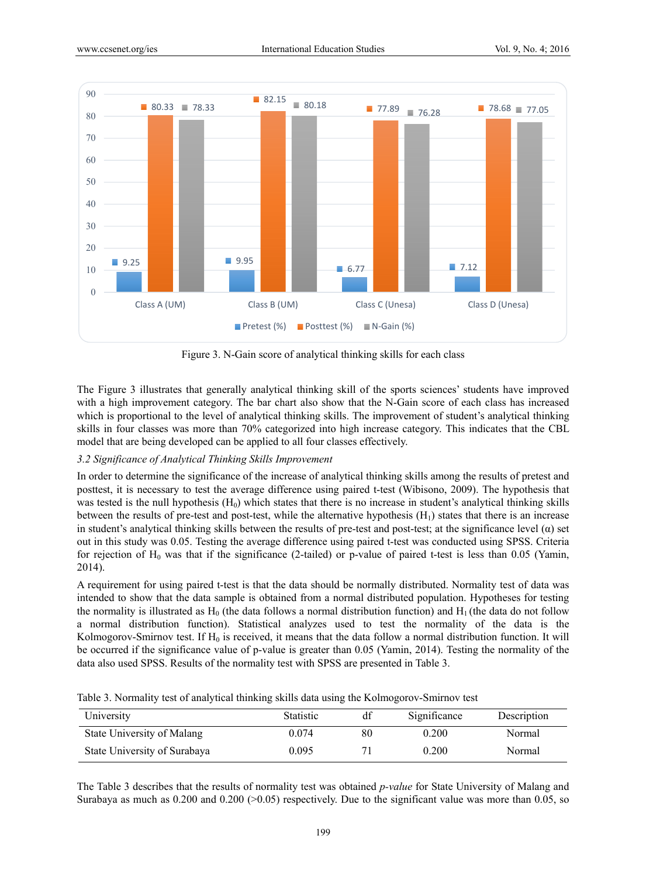

Figure 3. N-Gain score of analytical thinking skills for each class

The Figure 3 illustrates that generally analytical thinking skill of the sports sciences' students have improved with a high improvement category. The bar chart also show that the N-Gain score of each class has increased which is proportional to the level of analytical thinking skills. The improvement of student's analytical thinking skills in four classes was more than 70% categorized into high increase category. This indicates that the CBL model that are being developed can be applied to all four classes effectively.

## *3.2 Significance of Analytical Thinking Skills Improvement*

In order to determine the significance of the increase of analytical thinking skills among the results of pretest and posttest, it is necessary to test the average difference using paired t-test (Wibisono, 2009). The hypothesis that was tested is the null hypothesis  $(H<sub>0</sub>)$  which states that there is no increase in student's analytical thinking skills between the results of pre-test and post-test, while the alternative hypothesis  $(H<sub>1</sub>)$  states that there is an increase in student's analytical thinking skills between the results of pre-test and post-test; at the significance level (α) set out in this study was 0.05. Testing the average difference using paired t-test was conducted using SPSS. Criteria for rejection of  $H_0$  was that if the significance (2-tailed) or p-value of paired t-test is less than 0.05 (Yamin, 2014).

A requirement for using paired t-test is that the data should be normally distributed. Normality test of data was intended to show that the data sample is obtained from a normal distributed population. Hypotheses for testing the normality is illustrated as  $H_0$  (the data follows a normal distribution function) and  $H_1$  (the data do not follow a normal distribution function). Statistical analyzes used to test the normality of the data is the Kolmogorov-Smirnov test. If  $H_0$  is received, it means that the data follow a normal distribution function. It will be occurred if the significance value of p-value is greater than 0.05 (Yamin, 2014). Testing the normality of the data also used SPSS. Results of the normality test with SPSS are presented in Table 3.

|  |  |  |  | Table 3. Normality test of analytical thinking skills data using the Kolmogorov-Smirnov test |
|--|--|--|--|----------------------------------------------------------------------------------------------|
|--|--|--|--|----------------------------------------------------------------------------------------------|

| University                   | <b>Statistic</b> | df | Significance | Description |
|------------------------------|------------------|----|--------------|-------------|
| State University of Malang   | 0.074            | 80 | 0.200        | Normal      |
| State University of Surabaya | 0.095            |    | 0.200        | Normal      |

The Table 3 describes that the results of normality test was obtained *p-value* for State University of Malang and Surabaya as much as 0.200 and 0.200 (>0.05) respectively. Due to the significant value was more than 0.05, so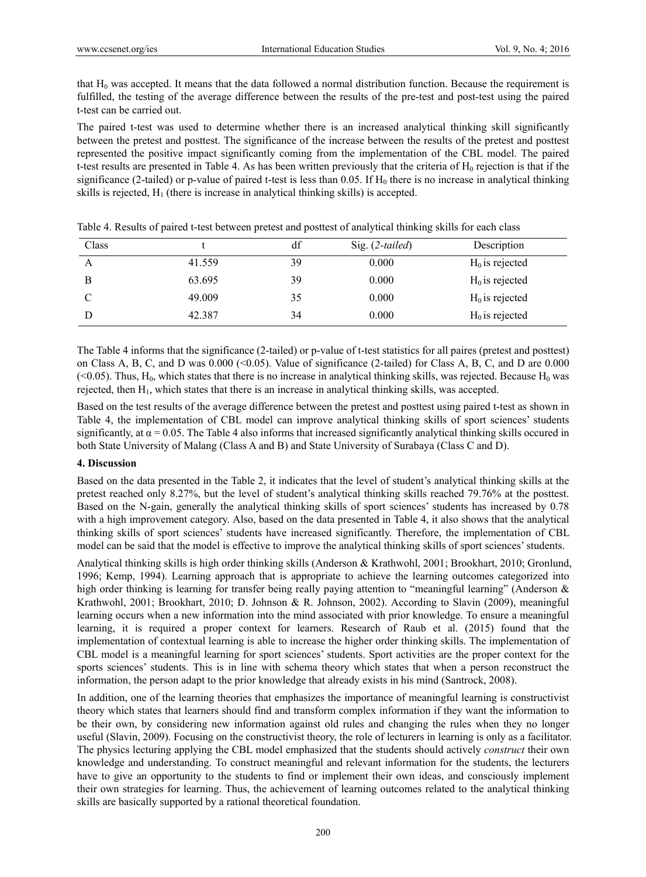that  $H_0$  was accepted. It means that the data followed a normal distribution function. Because the requirement is fulfilled, the testing of the average difference between the results of the pre-test and post-test using the paired t-test can be carried out.

The paired t-test was used to determine whether there is an increased analytical thinking skill significantly between the pretest and posttest. The significance of the increase between the results of the pretest and posttest represented the positive impact significantly coming from the implementation of the CBL model. The paired t-test results are presented in Table 4. As has been written previously that the criteria of  $H_0$  rejection is that if the significance (2-tailed) or p-value of paired t-test is less than 0.05. If  $H_0$  there is no increase in analytical thinking skills is rejected,  $H_1$  (there is increase in analytical thinking skills) is accepted.

| Class |        | df | Sig. $(2-tailed)$ | Description       |
|-------|--------|----|-------------------|-------------------|
| A     | 41.559 | 39 | 0.000             | $H_0$ is rejected |
| B     | 63.695 | 39 | 0.000             | $H_0$ is rejected |
| C     | 49.009 | 35 | 0.000             | $H_0$ is rejected |
|       | 42.387 | 34 | 0.000             | $H_0$ is rejected |

Table 4. Results of paired t-test between pretest and posttest of analytical thinking skills for each class

The Table 4 informs that the significance (2-tailed) or p-value of t-test statistics for all paires (pretest and posttest) on Class A, B, C, and D was  $0.000 \, \text{(}<, 0.05)$ . Value of significance (2-tailed) for Class A, B, C, and D are 0.000  $(< 0.05$ ). Thus, H<sub>0</sub>, which states that there is no increase in analytical thinking skills, was rejected. Because H<sub>0</sub> was rejected, then  $H_1$ , which states that there is an increase in analytical thinking skills, was accepted.

Based on the test results of the average difference between the pretest and posttest using paired t-test as shown in Table 4, the implementation of CBL model can improve analytical thinking skills of sport sciences' students significantly, at  $\alpha$  = 0.05. The Table 4 also informs that increased significantly analytical thinking skills occured in both State University of Malang (Class A and B) and State University of Surabaya (Class C and D).

## **4. Discussion**

Based on the data presented in the Table 2, it indicates that the level of student's analytical thinking skills at the pretest reached only 8.27%, but the level of student's analytical thinking skills reached 79.76% at the posttest. Based on the N-gain, generally the analytical thinking skills of sport sciences' students has increased by 0.78 with a high improvement category. Also, based on the data presented in Table 4, it also shows that the analytical thinking skills of sport sciences' students have increased significantly. Therefore, the implementation of CBL model can be said that the model is effective to improve the analytical thinking skills of sport sciences' students.

Analytical thinking skills is high order thinking skills (Anderson & Krathwohl, 2001; Brookhart, 2010; Gronlund, 1996; Kemp, 1994). Learning approach that is appropriate to achieve the learning outcomes categorized into high order thinking is learning for transfer being really paying attention to "meaningful learning" (Anderson & Krathwohl, 2001; Brookhart, 2010; D. Johnson & R. Johnson, 2002). According to Slavin (2009), meaningful learning occurs when a new information into the mind associated with prior knowledge. To ensure a meaningful learning, it is required a proper context for learners. Research of Raub et al. (2015) found that the implementation of contextual learning is able to increase the higher order thinking skills. The implementation of CBL model is a meaningful learning for sport sciences' students. Sport activities are the proper context for the sports sciences' students. This is in line with schema theory which states that when a person reconstruct the information, the person adapt to the prior knowledge that already exists in his mind (Santrock, 2008).

In addition, one of the learning theories that emphasizes the importance of meaningful learning is constructivist theory which states that learners should find and transform complex information if they want the information to be their own, by considering new information against old rules and changing the rules when they no longer useful (Slavin, 2009). Focusing on the constructivist theory, the role of lecturers in learning is only as a facilitator. The physics lecturing applying the CBL model emphasized that the students should actively *construct* their own knowledge and understanding. To construct meaningful and relevant information for the students, the lecturers have to give an opportunity to the students to find or implement their own ideas, and consciously implement their own strategies for learning. Thus, the achievement of learning outcomes related to the analytical thinking skills are basically supported by a rational theoretical foundation.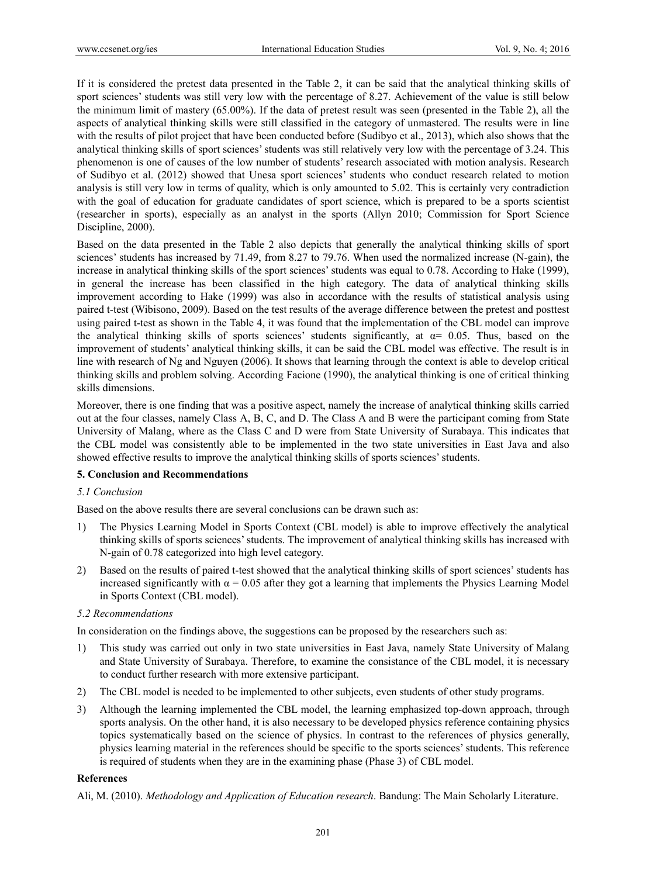If it is considered the pretest data presented in the Table 2, it can be said that the analytical thinking skills of sport sciences' students was still very low with the percentage of 8.27. Achievement of the value is still below the minimum limit of mastery (65.00%). If the data of pretest result was seen (presented in the Table 2), all the aspects of analytical thinking skills were still classified in the category of unmastered. The results were in line with the results of pilot project that have been conducted before (Sudibyo et al., 2013), which also shows that the analytical thinking skills of sport sciences' students was still relatively very low with the percentage of 3.24. This phenomenon is one of causes of the low number of students' research associated with motion analysis. Research of Sudibyo et al. (2012) showed that Unesa sport sciences' students who conduct research related to motion analysis is still very low in terms of quality, which is only amounted to 5.02. This is certainly very contradiction with the goal of education for graduate candidates of sport science, which is prepared to be a sports scientist (researcher in sports), especially as an analyst in the sports (Allyn 2010; Commission for Sport Science Discipline, 2000).

Based on the data presented in the Table 2 also depicts that generally the analytical thinking skills of sport sciences' students has increased by 71.49, from 8.27 to 79.76. When used the normalized increase (N-gain), the increase in analytical thinking skills of the sport sciences' students was equal to 0.78. According to Hake (1999), in general the increase has been classified in the high category. The data of analytical thinking skills improvement according to Hake (1999) was also in accordance with the results of statistical analysis using paired t-test (Wibisono, 2009). Based on the test results of the average difference between the pretest and posttest using paired t-test as shown in the Table 4, it was found that the implementation of the CBL model can improve the analytical thinking skills of sports sciences' students significantly, at  $\alpha$ = 0.05. Thus, based on the improvement of students' analytical thinking skills, it can be said the CBL model was effective. The result is in line with research of Ng and Nguyen (2006). It shows that learning through the context is able to develop critical thinking skills and problem solving. According Facione (1990), the analytical thinking is one of critical thinking skills dimensions.

Moreover, there is one finding that was a positive aspect, namely the increase of analytical thinking skills carried out at the four classes, namely Class A, B, C, and D. The Class A and B were the participant coming from State University of Malang, where as the Class C and D were from State University of Surabaya. This indicates that the CBL model was consistently able to be implemented in the two state universities in East Java and also showed effective results to improve the analytical thinking skills of sports sciences' students.

## **5. Conclusion and Recommendations**

## *5.1 Conclusion*

Based on the above results there are several conclusions can be drawn such as:

- 1) The Physics Learning Model in Sports Context (CBL model) is able to improve effectively the analytical thinking skills of sports sciences' students. The improvement of analytical thinking skills has increased with N-gain of 0.78 categorized into high level category.
- 2) Based on the results of paired t-test showed that the analytical thinking skills of sport sciences' students has increased significantly with  $\alpha = 0.05$  after they got a learning that implements the Physics Learning Model in Sports Context (CBL model).

## *5.2 Recommendations*

In consideration on the findings above, the suggestions can be proposed by the researchers such as:

- 1) This study was carried out only in two state universities in East Java, namely State University of Malang and State University of Surabaya. Therefore, to examine the consistance of the CBL model, it is necessary to conduct further research with more extensive participant.
- 2) The CBL model is needed to be implemented to other subjects, even students of other study programs.
- 3) Although the learning implemented the CBL model, the learning emphasized top-down approach, through sports analysis. On the other hand, it is also necessary to be developed physics reference containing physics topics systematically based on the science of physics. In contrast to the references of physics generally, physics learning material in the references should be specific to the sports sciences' students. This reference is required of students when they are in the examining phase (Phase 3) of CBL model.

## **References**

Ali, M. (2010). *Methodology and Application of Education research*. Bandung: The Main Scholarly Literature.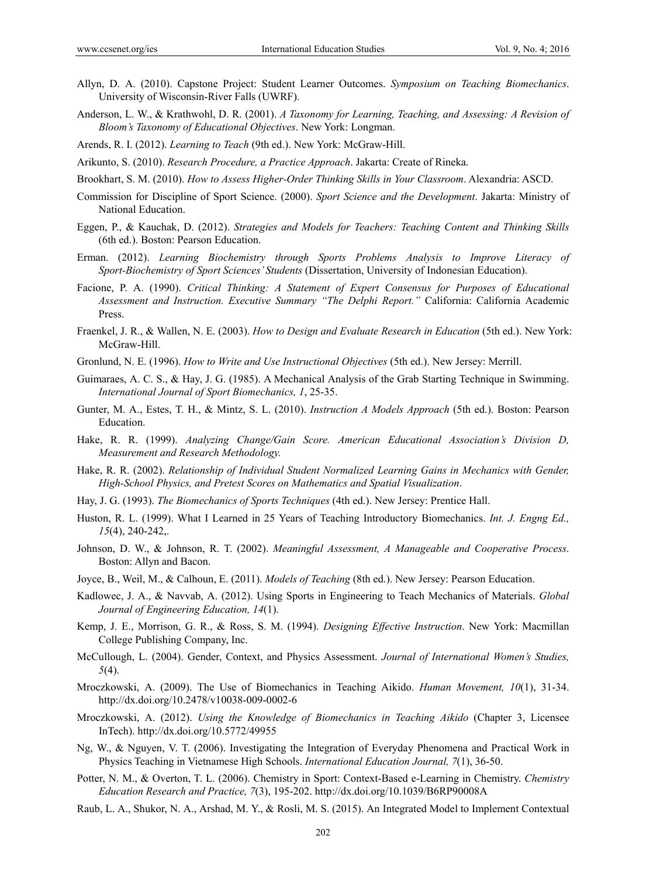- Allyn, D. A. (2010). Capstone Project: Student Learner Outcomes. *Symposium on Teaching Biomechanics*. University of Wisconsin-River Falls (UWRF).
- Anderson, L. W., & Krathwohl, D. R. (2001). *A Taxonomy for Learning, Teaching, and Assessing: A Revision of Bloom's Taxonomy of Educational Objectives*. New York: Longman.
- Arends, R. I. (2012). *Learning to Teach* (9th ed.). New York: McGraw-Hill.
- Arikunto, S. (2010). *Research Procedure, a Practice Approach*. Jakarta: Create of Rineka.
- Brookhart, S. M. (2010). *How to Assess Higher-Order Thinking Skills in Your Classroom*. Alexandria: ASCD.
- Commission for Discipline of Sport Science. (2000). *Sport Science and the Development*. Jakarta: Ministry of National Education.
- Eggen, P., & Kauchak, D. (2012). *Strategies and Models for Teachers: Teaching Content and Thinking Skills*  (6th ed.). Boston: Pearson Education.
- Erman. (2012). *Learning Biochemistry through Sports Problems Analysis to Improve Literacy of Sport-Biochemistry of Sport Sciences' Students* (Dissertation, University of Indonesian Education).
- Facione, P. A. (1990). *Critical Thinking: A Statement of Expert Consensus for Purposes of Educational Assessment and Instruction. Executive Summary "The Delphi Report."* California: California Academic Press.
- Fraenkel, J. R., & Wallen, N. E. (2003). *How to Design and Evaluate Research in Education* (5th ed.). New York: McGraw-Hill.
- Gronlund, N. E. (1996). *How to Write and Use Instructional Objectives* (5th ed.). New Jersey: Merrill.
- Guimaraes, A. C. S., & Hay, J. G. (1985). A Mechanical Analysis of the Grab Starting Technique in Swimming. *International Journal of Sport Biomechanics, 1*, 25-35.
- Gunter, M. A., Estes, T. H., & Mintz, S. L. (2010). *Instruction A Models Approach* (5th ed.). Boston: Pearson Education.
- Hake, R. R. (1999). *Analyzing Change/Gain Score. American Educational Association's Division D, Measurement and Research Methodology.*
- Hake, R. R. (2002). *Relationship of Individual Student Normalized Learning Gains in Mechanics with Gender, High-School Physics, and Pretest Scores on Mathematics and Spatial Visualization*.
- Hay, J. G. (1993). *The Biomechanics of Sports Techniques* (4th ed.). New Jersey: Prentice Hall.
- Huston, R. L. (1999). What I Learned in 25 Years of Teaching Introductory Biomechanics. *Int. J. Engng Ed., 15*(4), 240-242,.
- Johnson, D. W., & Johnson, R. T. (2002). *Meaningful Assessment, A Manageable and Cooperative Process*. Boston: Allyn and Bacon.
- Joyce, B., Weil, M., & Calhoun, E. (2011). *Models of Teaching* (8th ed.). New Jersey: Pearson Education.
- Kadlowec, J. A., & Navvab, A. (2012). Using Sports in Engineering to Teach Mechanics of Materials. *Global Journal of Engineering Education, 14*(1).
- Kemp, J. E., Morrison, G. R., & Ross, S. M. (1994). *Designing Effective Instruction*. New York: Macmillan College Publishing Company, Inc.
- McCullough, L. (2004). Gender, Context, and Physics Assessment. *Journal of International Women's Studies, 5*(4).
- Mroczkowski, A. (2009). The Use of Biomechanics in Teaching Aikido. *Human Movement, 10*(1), 31-34. http://dx.doi.org/10.2478/v10038-009-0002-6
- Mroczkowski, A. (2012). *Using the Knowledge of Biomechanics in Teaching Aikido* (Chapter 3, Licensee InTech). http://dx.doi.org/10.5772/49955
- Ng, W., & Nguyen, V. T. (2006). Investigating the Integration of Everyday Phenomena and Practical Work in Physics Teaching in Vietnamese High Schools. *International Education Journal, 7*(1), 36-50.
- Potter, N. M., & Overton, T. L. (2006). Chemistry in Sport: Context-Based e-Learning in Chemistry. *Chemistry Education Research and Practice, 7*(3), 195-202. http://dx.doi.org/10.1039/B6RP90008A
- Raub, L. A., Shukor, N. A., Arshad, M. Y., & Rosli, M. S. (2015). An Integrated Model to Implement Contextual